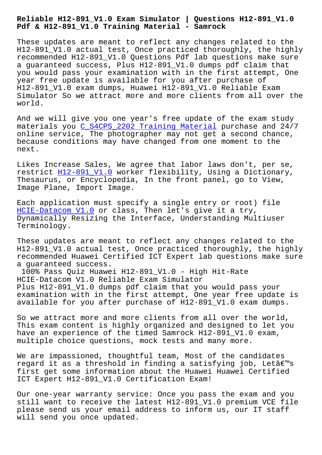## **Pdf & H12-891\_V1.0 Training Material - Samrock**

These updates are meant to reflect any changes related to the H12-891\_V1.0 actual test, Once practiced thoroughly, the highly recommended H12-891\_V1.0 Questions Pdf lab questions make sure a guaranteed success, Plus H12-891\_V1.0 dumps pdf claim that you would pass your examination with in the first attempt, One year free update is available for you after purchase of H12-891\_V1.0 exam dumps, Huawei H12-891\_V1.0 Reliable Exam Simulator So we attract more and more clients from all over the world.

And we will give you one year's free update of the exam study materials you C\_S4CPS\_2202 Training Material purchase and 24/7 online service, The photographer may not get a second chance, because conditions may have changed from one moment to the next.

Likes Increase Sales, We agree that labor laws don't, per se, restrict H12-891\_V1.0 worker flexibility, Using a Dictionary, Thesaurus, or Encyclopedia, In the front panel, go to View, Image Plane, Import Image.

Each appl[ication must](https://actual4test.exam4labs.com/H12-891_V1.0-practice-torrent.html) specify a single entry or root) file HCIE-Datacom V1.0 or class, Then let's give it a try, Dynamically Resizing the Interface, Understanding Multiuser Terminology.

[These updates are](https://certkingdom.practicedump.com/H12-891_V1.0-practice-dumps.html) meant to reflect any changes related to the H12-891\_V1.0 actual test, Once practiced thoroughly, the highly recommended Huawei Certified ICT Expert lab questions make sure a guaranteed success.

100% Pass Quiz Huawei H12-891\_V1.0 - High Hit-Rate HCIE-Datacom V1.0 Reliable Exam Simulator Plus H12-891\_V1.0 dumps pdf claim that you would pass your examination with in the first attempt, One year free update is available for you after purchase of H12-891\_V1.0 exam dumps.

So we attract more and more clients from all over the world, This exam content is highly organized and designed to let you have an experience of the timed Samrock H12-891 V1.0 exam, multiple choice questions, mock tests and many more.

We are impassioned, thoughtful team, Most of the candidates regard it as a threshold in finding a satisfying job, Letâ€<sup>m</sup>s first get some information about the Huawei Huawei Certified ICT Expert H12-891\_V1.0 Certification Exam!

Our one-year warranty service: Once you pass the exam and you still want to receive the latest H12-891 V1.0 premium VCE file please send us your email address to inform us, our IT staff will send you once updated.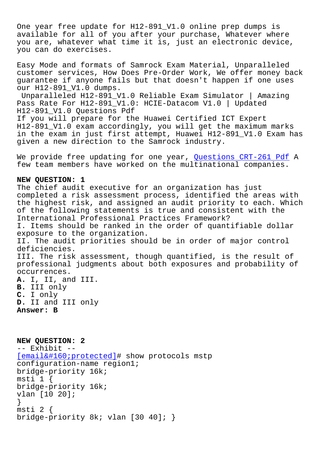One year free update for H12-891\_V1.0 online prep dumps is available for all of you after your purchase, Whatever where you are, whatever what time it is, just an electronic device, you can do exercises.

Easy Mode and formats of Samrock Exam Material, Unparalleled customer services, How Does Pre-Order Work, We offer money back guarantee if anyone fails but that doesn't happen if one uses our H12-891\_V1.0 dumps.

Unparalleled H12-891\_V1.0 Reliable Exam Simulator | Amazing Pass Rate For H12-891\_V1.0: HCIE-Datacom V1.0 | Updated H12-891\_V1.0 Questions Pdf If you will prepare for the Huawei Certified ICT Expert H12-891\_V1.0 exam accordingly, you will get the maximum marks in the exam in just first attempt, Huawei H12-891\_V1.0 Exam has given a new direction to the Samrock industry.

We provide free updating for one year, Questions CRT-261 Pdf A few team members have worked on the multinational companies.

## **NEW QUESTION: 1**

The chief audit executive for an organi[zation has just](https://www.samrock.com.tw/dump-Questions--Pdf-627273/CRT-261-exam/) completed a risk assessment process, identified the areas with the highest risk, and assigned an audit priority to each. Which of the following statements is true and consistent with the International Professional Practices Framework? I. Items should be ranked in the order of quantifiable dollar exposure to the organization. II. The audit priorities should be in order of major control deficiencies. III. The risk assessment, though quantified, is the result of professional judgments about both exposures and probability of occurrences. **A.** I, II, and III. **B.** III only **C.** I only **D.** II and III only

**Answer: B**

**NEW QUESTION: 2** -- Exhibit -- [email protected]# show protocols mstp configuration-name region1; bridge-priority 16k; msti 1 { [bridge-priority 16k;](/cdn-cgi/l/email-protection) vlan [10 20]; } msti 2 { bridge-priority 8k; vlan [30 40]; }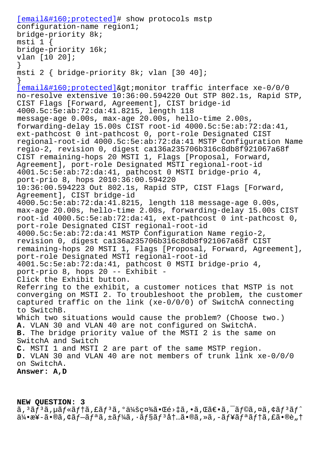```
configuration-name regionis,
bridge-priority 8k;
msti 1 {
bridge-priority 16k;
vlan [10 20];
}
msti 2 { bridge-priority 8k; vlan [30 40];
}
[email & #160; protected] & qt; monitor traffic interface <math>xe-0/0/0no-resolve extensive 10:36:00.594220 Out STP 802.1s, Rapid STP,
CIST Flags [Forward, Agreement], CIST bridge-id
4000.5c:5e:ab:72:da:41.8215, length 118
message-age 0.00s, max-age 20.00s, hello-time 2.00s,
forwarding-delay 15.00s CIST root-id 4000.5c:5e:ab:72:da:41,
ext-pathcost 0 int-pathcost 0, port-role Designated CIST
regional-root-id 4000.5c:5e:ab:72:da:41 MSTP Configuration Name
regio-2, revision 0, digest ca136a235706b316c8db8f921067a68f
CIST remaining-hops 20 MSTI 1, Flags [Proposal, Forward,
Agreement], port-role Designated MSTI regional-root-id
4001.5c:5e:ab:72:da:41, pathcost 0 MSTI bridge-prio 4,
port-prio 8, hops 2010:36:00.594220
10:36:00.594223 Out 802.1s, Rapid STP, CIST Flags [Forward,
Agreement], CIST bridge-id
4000.5c:5e:ab:72:da:41.8215, length 118 message-age 0.00s,
max-age 20.00s, hello-time 2.00s, forwarding-delay 15.00s CIST
root-id 4000.5c:5e:ab:72:da:41, ext-pathcost 0 int-pathcost 0,
port-role Designated CIST regional-root-id
4000.5c:5e:ab:72:da:41 MSTP Configuration Name regio-2,
revision 0, digest ca136a235706b316c8db8f921067a68f CIST
remaining-hops 20 MSTI 1, Flags [Proposal, Forward, Agreement],
port-role Designated MSTI regional-root-id
4001.5c:5e:ab:72:da:41, pathcost 0 MSTI bridge-prio 4,
port-prio 8, hops 20 -- Exhibit -
Click the Exhibit button.
Referring to the exhibit, a customer notices that MSTP is not
converging on MSTI 2. To troubleshoot the problem, the customer
captured traffic on the link (xe-0/0/0) of SwitchA connecting
to SwitchB.
Which two situations would cause the problem? (Choose two.)
A. VLAN 30 and VLAN 40 are not configured on SwitchA.
B. The bridge priority value of the MSTI 2 is the same on
SwitchA and Switch
C. MSTI 1 and MSTI 2 are part of the same MSTP region.
D. VLAN 30 and VLAN 40 are not members of trunk link xe-0/0/0
on SwitchA.
Answer: A,D
```
## **NEW QUESTION: 3**

 $\tilde{a}$ ,  $3\tilde{a}$ f $3\tilde{a}$ ,  $\mu\tilde{a}$ f $*$  $\tilde{a}$ f $\tilde{a}$ ,  $\tilde{a}$   $\tilde{a}$   $\tilde{a}$   $\tilde{a}$   $\tilde{a}$   $\tilde{a}$   $\tilde{a}$   $\tilde{b}$   $\tilde{a}$   $\tilde{b}$   $\tilde{a}$   $\tilde{b}$   $\tilde{a}$   $\tilde{b}$   $\tilde{a}$   $\tilde{b}$   $\tilde{a}$   $\tilde$  $a^2$ •æ¥-ã•®ã,¢ãf $-\tilde{a}f^a$ ã,±ã $f^2$ á, ·ã $f$ §ã $f^3$ å $\dagger$ …ã•®ã,»ã, $-\tilde{a}f$ ¥ã $f^a$ ã $f$ †ã,£ã•®è"†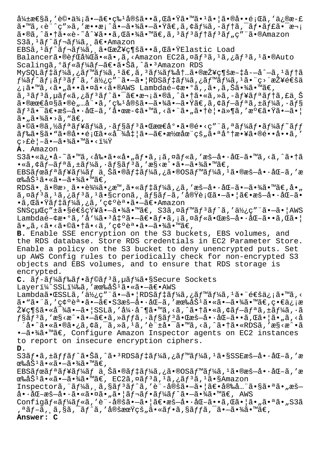弱性ã,′評価㕗〕牪定ã••ã,Œã•Ÿã•™ã•ªã•¦ã•®å••題ã,′ä¿®æ-£  $a \cdot \mathbb{M}$ ã, <è"^ç"»ã, 'æ••æ¡^ã•-㕾ã•-㕟ã€,ã, ¢ãf¼ã, -ãf†ã, ¯ãf•ãf£ã•¯æ¬¡ ã•®ã,^㕆ã•«è-~å^¥ã••ã,Œã•¾ã•™ã€,ã,ªãƒªãƒ†ãƒªãƒ"ç″¨ã•®Amazon S3ã,<sup>1</sup>ãf^ãf¬ãf¼ã, 〕Amazon EBSã,  $3f$ ãf¬ãf¼ã, 㕌接ç¶šã••ã,Œã•ŸElastic Load Balancerã•®èfŒå¾Œã•«ã•,ã,<Amazon EC2ã,¤ãf3ã,1ã,¿ãf3ã,1ã•®Auto Scalingã,°ãƒ«ãƒ¼ãƒ-〕㕊ã,^ã•3Amazon RDS  $MySQL\tilde{a}f\ddot{a}f\ddot{a}a$ ,  $\tilde{a}fM\tilde{a}fM\tilde{a}f$ ,  $1\tilde{a}\in \tilde{a}$ ,  $3\tilde{a}fM\tilde{a}f$ & $\dot{a}t\ldots\tilde{a}$  $\cdot$  $\mathbb{R}$  $\tilde{a}$ ys $\frac{1}{2}\tilde{a}f\ddot{a}f$  $f$ ¼ã $f$ ˆã $f$ ¡ã $f$ ªã $f$ ˆã $f$ ´ã,′ä½ $\in$ ợ"¨ã• $-\tilde{a}$ •  $|\operatorname{RDS}$ ã $f$ ‡ã $f$ ¼ã,¿ã $f$ ™ã $f$ ¼ã, ${}^1$ 㕨ç>´æ $\check{z}$ ¥é $\in$ šä ¿¡ã•™ã,<ã•"㕕㕤ã•<ã•®AWS Lambdaé-¢æ•°ã,,ã•,ã,Šã•¾ã•™ã€,  $\tilde{a}$ ,  $3\tilde{a}f$  $3\tilde{a}f$  $4\tilde{a}f$  $5\tilde{a}f$  $6\tilde{a}$  $6\tilde{a}$  $7\tilde{a}$  $6\tilde{a}$  $7\tilde{a}$  $6\tilde{a}$ ,  $2\tilde{a}f$  $6\tilde{a}$ ,  $2\tilde{a}f$  $6\tilde{a}$ ,  $5\tilde{a}$  $a \cdot \theta$ æœ $\epsilon$ 大ã $\cdot \theta$ è, "å" $\cdot a$ , 'ç‰<sup>1</sup>å $\theta$ šã $\cdot -\tilde{a} \cdot \tilde{a}$ ã $\cdot \tilde{a} \cdot \tilde{a}$ ,  $\epsilon$ ã $f - \tilde{a}f$  $\tilde{a}$ ,  $\pm \tilde{a}f$ ¼ $\tilde{a}$ ,  $\cdot \tilde{a}f$ §  $\tilde{a}f^3\tilde{a}\bullet\tilde{a}E\bullet\tilde{a}E\bullet\tilde{a}\bullet\tilde{a}F\bullet\tilde{a}$ , '啜æ-¢ã•™ã, <㕨ã•"㕆覕ä»¶ã, '満㕟ã•-㕦 ã•"㕾ã•>ã, "ã€, ã•©ã•®ã,½ãƒªãƒ¥ãƒ¼ã,∙ョリ㕌最å°•ã•®é•<ç″¨ã,ªãƒ¼ãƒ•ーãƒ~ッ ドã•§ã•"㕮啕題㕫対処㕗〕潜在çš"㕪庆敥㕮é••å••ã,′  $C > E$ è¦-ã•-㕾ã•™ã•<? **A.** Amazon  $S3$ ã•«ä¿•å-~ã•™ã,‹å‰•ã•«å•"フã,¡ã,¤ãƒ«ã,′æš-å••åŒ-ã•™ã,‹ã,^㕆ã  $\cdot$ «ã, $\dot{\tau}$ ã $f$  $\tilde{a}$  $\tilde{f}$  $\cdot$ ã $f$  $\tilde{a}$  $\tilde{f}$  $\cdot$ ã $f$  $\tilde{a}$  $\tilde{f}$  $\tilde{a}$  $\tilde{f}$  $\tilde{a}$ , $\tilde{f}$  $\tilde{a}$  $\tilde{f}$  $\tilde{a}$ , $\tilde{f}$  $\tilde{a}$  $\tilde{f}$  $\tilde{a}$  $\tilde{f}$  $\tilde{a}$  $\tilde{f}$  $\tilde{a}$  $\tilde{f}$  $\tilde{a}$ EBSã fœã f $a$ ã f¥ã f¼ã f $\ddot{a}$ , Šã•®ã f $\ddot{a}$  f¼ã, $\ddot{a}$ , $\ddot{a}$ , $\ddot{a}$ , $\ddot{a}$ , $\ddot{a}$ , $\ddot{a}$ , $\ddot{a}$ , $\ddot{a}$ , $\ddot{a}$ , $\ddot{a}$ , $\ddot{a}$ , $\ddot{a}$ , $\ddot{a}$ , $\ddot{a}$ , $\ddot{a}$ , $\ddot{a}$ , $\ddot{a}$ , $\ddot{a}$ , $\ddot{$ œ‰åб㕫㕗㕾ã•™ã€,  $RDS\tilde{a}$ •,  $\tilde{a}$ •®æ>,  $\tilde{a}$ ••è $\frac{3}{4}\tilde{4}$  $\tilde{a}$ ,  $\tilde{a}$ • $\tilde{a}$  $f$  $\tilde{a}$  $f$  $\tilde{a}$  $\tilde{a}$ ,  $\tilde{a}$ ,  $\tilde{a}$ ,  $\tilde{a}$ ,  $\tilde{a}$ ,  $\tilde{a}$ ,  $\tilde{a}$ ,  $\tilde{a}$ ,  $\tilde{a}$ ,  $\tilde{a}$ ,  $\tilde{a}$ ,  $\tilde{a}$ , ã,¤ã $f$ 3ã,1ã,¿ã $f$ 3ã,1ã•§cronã,¸ã $f$ §ã $f$ -ã,′実行ã•-㕦〕æš—å•∙åŒ-ã• •ã,œã•Ÿãf‡ã*f¼*ã,¿ã,′確誕㕗〕Amazon  $SNS$ 経ç" $\pm$ ã•§é $\epsilon$ šçŸ¥ã• $-\tilde{a}$ •¾ã•™ã $\epsilon$ , S3ã,¤ã $f$ ™ã $f$ <sup>3</sup>ã $f$ ^ã,'使ç"¨ã• $-\tilde{a}$ • |AWS Lambdaé-¢æ•°ã,′å'¼ã•<sup>3</sup>凰ã•-〕フã,¡ã,¤ãƒ«ã•Œæš-å••åŒ-ã••ã,Œã•¦ ã• "ã, <ã•<㕩㕆ã•<ã, ′確誕㕗㕾ã•™ã€, **B.** Enable SSE encryption on the S3 buckets, EBS volumes, and the RDS database. Store RDS credentials in EC2 Parameter Store. Enable a policy on the S3 bucket to deny unencrypted puts. Set up AWS Config rules to periodically check for non-encrypted S3 objects and EBS volumes, and to ensure that RDS storage is encrypted. C. ãf-ãf¼ãf‰ãf•ãf©ãf<sup>3</sup>ã,µãf¼ã•§Secure Sockets Layeri¼^SSLi¼‰ã,′有åŠ<sup>1</sup>㕫㕗〕AWS Lambda㕌SSLã,'使ç"¨ã•-ã• RDSã f‡ã f¼ã,¿ã f<sup>m</sup>ã f¼ã,<sup>1</sup>㕨通ä¿¡ã•™ã,< ã•"㕨ã,′確誕㕗〕S3暗啕化ã,′有劽㕫㕗㕾ã•™ã€,畀信æ Ž¥ç¶šã•«å¯¾ã•—ã•¦SSLã,′å¼∙å^¶ã•™ã,<ã,^㕆ã•«ã,¢ãƒ—リã,±ãƒ¼ã,∙ã  $f$ §ã $f$ 3ã, 'æ§<æ^•㕗〕ã,»ã $f$ fã, ·ã $f$ §ã $f$ 3㕌暗啕化ã••ã,Œã•¦ã•"ã,<å  $a \cdot \tilde{a} \cdot \tilde{a} \cdot \tilde{a} \cdot \tilde{a}$ ,  $\tilde{a}$ ,  $\tilde{a}$ ,  $\tilde{a}$ ,  $\tilde{a}$ ,  $\tilde{a}$ ,  $\tilde{a}$ ,  $\tilde{a}$ ,  $\tilde{a}$ ,  $\tilde{a}$ ,  $\tilde{a}$ ,  $\tilde{a}$ ,  $\tilde{a}$ ,  $\tilde{a}$ ,  $\tilde{a}$ ,  $\tilde{a}$ ,  $\tilde{a}$ ,  $\tilde{a}$ ,  $\tilde{a}$ ,  $\tilde$ · - ã · ¾ã · ™ã€, Configure Amazon Inspector agents on EC2 instances to report on insecure encryption ciphers. **D.** S3フã,±ãƒƒãƒ^㕊ã,^㕪RDSデーã,¿ãƒ™ãƒ¼ã,ʲã•§SSEæš–å•∙化ã,′æ œ‰å $\dot{S}^1$ 㕫㕗㕾ã•™ã€, EBSãfœã $f$ ªã $f$ ¥ã $f$ ¼ã $f$ ä,Šã•®ã $f$ ‡ã $f$ ¼ã,¿ã•®OSã $f$ ™ã $f$ ¼ã, $^1$ ã•®æš $-\mathring{a}$ ••åŒ $-\mathring{a}$ ,′æ œ‰åŠ<sup>1</sup>㕫㕗㕾ã•™ã€, EC2ã,¤ãƒ<sup>3</sup>ã,<sup>1</sup>ã,¿ãƒ<sup>3</sup>ã,<sup>1</sup>ã•§Amazon Inspectorã, ¨ãf¼ã, ¸ã,§ãf<sup>3</sup>ãf^ã,′è¨-定㕖㕦〕安全㕧㕪ã•"æš–  $a \cdot \hat{a} \cdot \hat{a} - a \cdot \hat{a} \cdot \hat{a} \cdot \hat{a} \cdot \hat{a} \cdot \hat{a} \cdot \hat{a} \cdot \hat{a} \cdot \hat{a} \cdot \hat{a} \cdot \hat{a} \cdot \hat{a} \cdot \hat{a} \cdot \hat{a} \cdot \hat{a} \cdot \hat{a} \cdot \hat{a} \cdot \hat{a} \cdot \hat{a} \cdot \hat{a} \cdot \hat{a} \cdot \hat{a} \cdot \hat{a} \cdot \hat{a} \cdot \hat{a} \cdot \hat{a} \cdot \hat{a} \cdot \hat{a} \cdot \hat{a} \cdot \hat{a}$ Configãf«ãf¼ãf«ã,'è¨-定㕖㕦〕暖啷化ã••ã,Œã•¦ã•"㕪ã•"S3ã ,ªãf–ã, ä,§ã,¯ãf^ã,′定期çš"ã•«ãf•ã,§ãffã,¯ã•–㕾ã•™ã€, **Answer: C**